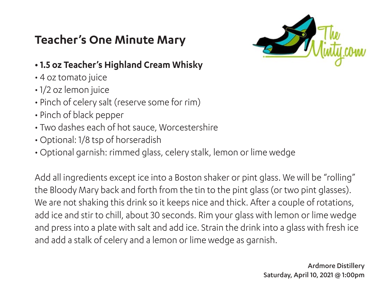## **Teacher's One Minute Mary**



## **• 1.5 oz Teacher's Highland Cream Whisky**

- 4 oz tomato juice
- 1/2 oz lemon juice
- Pinch of celery salt (reserve some for rim)
- Pinch of black pepper
- Two dashes each of hot sauce, Worcestershire
- Optional: 1/8 tsp of horseradish
- Optional garnish: rimmed glass, celery stalk, lemon or lime wedge

Add all ingredients except ice into a Boston shaker or pint glass. We will be "rolling" the Bloody Mary back and forth from the tin to the pint glass (or two pint glasses). We are not shaking this drink so it keeps nice and thick. After a couple of rotations, add ice and stir to chill, about 30 seconds. Rim your glass with lemon or lime wedge and press into a plate with salt and add ice. Strain the drink into a glass with fresh ice and add a stalk of celery and a lemon or lime wedge as garnish.

> Ardmore Distillery Saturday, April 10, 2021 @ 1:00pm